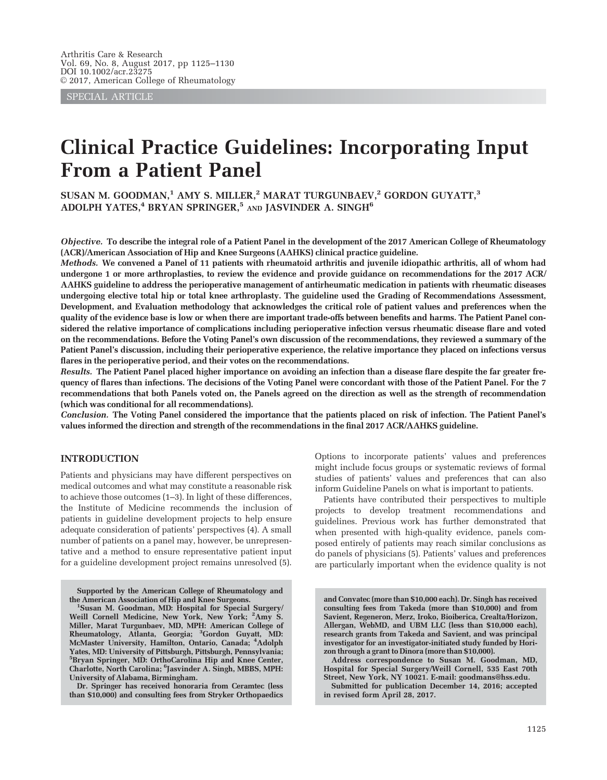SPECIAL ARTICLE

# Clinical Practice Guidelines: Incorporating Input From a Patient Panel

SUSAN M. GOODMAN,<sup>1</sup> AMY S. MILLER,<sup>2</sup> MARAT TURGUNBAEV,<sup>2</sup> GORDON GUYATT,<sup>3</sup> ADOLPH YATES,<sup>4</sup> BRYAN SPRINGER,<sup>5</sup> AND JASVINDER A. SINGH<sup>6</sup>

Objective. To describe the integral role of a Patient Panel in the development of the 2017 American College of Rheumatology (ACR)/American Association of Hip and Knee Surgeons (AAHKS) clinical practice guideline.

Methods. We convened a Panel of 11 patients with rheumatoid arthritis and juvenile idiopathic arthritis, all of whom had undergone 1 or more arthroplasties, to review the evidence and provide guidance on recommendations for the 2017 ACR/ AAHKS guideline to address the perioperative management of antirheumatic medication in patients with rheumatic diseases undergoing elective total hip or total knee arthroplasty. The guideline used the Grading of Recommendations Assessment, Development, and Evaluation methodology that acknowledges the critical role of patient values and preferences when the quality of the evidence base is low or when there are important trade-offs between benefits and harms. The Patient Panel considered the relative importance of complications including perioperative infection versus rheumatic disease flare and voted on the recommendations. Before the Voting Panel's own discussion of the recommendations, they reviewed a summary of the Patient Panel's discussion, including their perioperative experience, the relative importance they placed on infections versus flares in the perioperative period, and their votes on the recommendations.

Results. The Patient Panel placed higher importance on avoiding an infection than a disease flare despite the far greater frequency of flares than infections. The decisions of the Voting Panel were concordant with those of the Patient Panel. For the 7 recommendations that both Panels voted on, the Panels agreed on the direction as well as the strength of recommendation (which was conditional for all recommendations).

Conclusion. The Voting Panel considered the importance that the patients placed on risk of infection. The Patient Panel's values informed the direction and strength of the recommendations in the final 2017 ACR/AAHKS guideline.

#### INTRODUCTION

Patients and physicians may have different perspectives on medical outcomes and what may constitute a reasonable risk to achieve those outcomes (1–3). In light of these differences, the Institute of Medicine recommends the inclusion of patients in guideline development projects to help ensure adequate consideration of patients' perspectives (4). A small number of patients on a panel may, however, be unrepresentative and a method to ensure representative patient input for a guideline development project remains unresolved (5).

Supported by the American College of Rheumatology and the American Association of Hip and Knee Surgeons. <sup>1</sup>

Dr. Springer has received honoraria from Ceramtec (less than \$10,000) and consulting fees from Stryker Orthopaedics Options to incorporate patients' values and preferences might include focus groups or systematic reviews of formal studies of patients' values and preferences that can also inform Guideline Panels on what is important to patients.

Patients have contributed their perspectives to multiple projects to develop treatment recommendations and guidelines. Previous work has further demonstrated that when presented with high-quality evidence, panels composed entirely of patients may reach similar conclusions as do panels of physicians (5). Patients' values and preferences are particularly important when the evidence quality is not

Susan M. Goodman, MD: Hospital for Special Surgery/ Weill Cornell Medicine, New York, New York; <sup>2</sup>Amy S. Miller, Marat Turgunbaev, MD, MPH: American College of Rheumatology, Atlanta, Georgia; <sup>3</sup>Gordon Guyatt, MD: McMaster University, Hamilton, Ontario, Canada; <sup>4</sup>Adolph Yates, MD: University of Pittsburgh, Pittsburgh, Pennsylvania; <sup>5</sup>Bryan Springer, MD: OrthoCarolina Hip and Knee Center, Charlotte, North Carolina; <sup>6</sup> Jasvinder A. Singh, MBBS, MPH: University of Alabama, Birmingham.

and Convatec (more than \$10,000 each). Dr. Singh has received consulting fees from Takeda (more than \$10,000) and from Savient, Regeneron, Merz, Iroko, Bioiberica, Crealta/Horizon, Allergan, WebMD, and UBM LLC (less than \$10,000 each), research grants from Takeda and Savient, and was principal investigator for an investigator-initiated study funded by Horizon through a grant to Dinora (more than \$10,000).

Address correspondence to Susan M. Goodman, MD, Hospital for Special Surgery/Weill Cornell, 535 East 70th Street, New York, NY 10021. E-mail: goodmans@hss.edu.

Submitted for publication December 14, 2016; accepted in revised form April 28, 2017.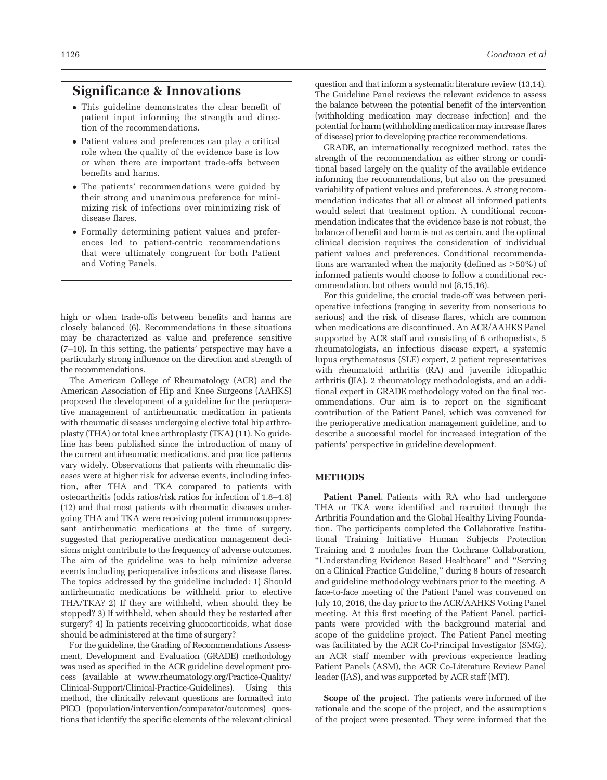# Significance & Innovations

- This guideline demonstrates the clear benefit of patient input informing the strength and direction of the recommendations.
- Patient values and preferences can play a critical role when the quality of the evidence base is low or when there are important trade-offs between benefits and harms.
- The patients' recommendations were guided by their strong and unanimous preference for minimizing risk of infections over minimizing risk of disease flares.
- Formally determining patient values and preferences led to patient-centric recommendations that were ultimately congruent for both Patient and Voting Panels.

high or when trade-offs between benefits and harms are closely balanced (6). Recommendations in these situations may be characterized as value and preference sensitive (7–10). In this setting, the patients' perspective may have a particularly strong influence on the direction and strength of the recommendations.

The American College of Rheumatology (ACR) and the American Association of Hip and Knee Surgeons (AAHKS) proposed the development of a guideline for the perioperative management of antirheumatic medication in patients with rheumatic diseases undergoing elective total hip arthroplasty (THA) or total knee arthroplasty (TKA) (11). No guideline has been published since the introduction of many of the current antirheumatic medications, and practice patterns vary widely. Observations that patients with rheumatic diseases were at higher risk for adverse events, including infection, after THA and TKA compared to patients with osteoarthritis (odds ratios/risk ratios for infection of 1.8–4.8) (12) and that most patients with rheumatic diseases undergoing THA and TKA were receiving potent immunosuppressant antirheumatic medications at the time of surgery, suggested that perioperative medication management decisions might contribute to the frequency of adverse outcomes. The aim of the guideline was to help minimize adverse events including perioperative infections and disease flares. The topics addressed by the guideline included: 1) Should antirheumatic medications be withheld prior to elective THA/TKA? 2) If they are withheld, when should they be stopped? 3) If withheld, when should they be restarted after surgery? 4) In patients receiving glucocorticoids, what dose should be administered at the time of surgery?

For the guideline, the Grading of Recommendations Assessment, Development and Evaluation (GRADE) methodology was used as specified in the ACR guideline development process (available at [www.rheumatology.org/Practice-Quality/](http://www.rheumatology.org/Practice-Quality/Clinical-Support/Clinical-Practice-Guidelines) [Clinical-Support/Clinical-Practice-Guidelines\)](http://www.rheumatology.org/Practice-Quality/Clinical-Support/Clinical-Practice-Guidelines). Using this method, the clinically relevant questions are formatted into PICO (population/intervention/comparator/outcomes) questions that identify the specific elements of the relevant clinical question and that inform a systematic literature review (13,14). The Guideline Panel reviews the relevant evidence to assess the balance between the potential benefit of the intervention (withholding medication may decrease infection) and the potential for harm (withholding medication may increase flares of disease) prior to developing practice recommendations.

GRADE, an internationally recognized method, rates the strength of the recommendation as either strong or conditional based largely on the quality of the available evidence informing the recommendations, but also on the presumed variability of patient values and preferences. A strong recommendation indicates that all or almost all informed patients would select that treatment option. A conditional recommendation indicates that the evidence base is not robust, the balance of benefit and harm is not as certain, and the optimal clinical decision requires the consideration of individual patient values and preferences. Conditional recommendations are warranted when the majority (defined as  $>50\%$ ) of informed patients would choose to follow a conditional recommendation, but others would not (8,15,16).

For this guideline, the crucial trade-off was between perioperative infections (ranging in severity from nonserious to serious) and the risk of disease flares, which are common when medications are discontinued. An ACR/AAHKS Panel supported by ACR staff and consisting of 6 orthopedists, 5 rheumatologists, an infectious disease expert, a systemic lupus erythematosus (SLE) expert, 2 patient representatives with rheumatoid arthritis (RA) and juvenile idiopathic arthritis (JIA), 2 rheumatology methodologists, and an additional expert in GRADE methodology voted on the final recommendations. Our aim is to report on the significant contribution of the Patient Panel, which was convened for the perioperative medication management guideline, and to describe a successful model for increased integration of the patients' perspective in guideline development.

### **METHODS**

Patient Panel. Patients with RA who had undergone THA or TKA were identified and recruited through the Arthritis Foundation and the Global Healthy Living Foundation. The participants completed the Collaborative Institutional Training Initiative Human Subjects Protection Training and 2 modules from the Cochrane Collaboration, "Understanding Evidence Based Healthcare" and "Serving on a Clinical Practice Guideline," during 8 hours of research and guideline methodology webinars prior to the meeting. A face-to-face meeting of the Patient Panel was convened on July 10, 2016, the day prior to the ACR/AAHKS Voting Panel meeting. At this first meeting of the Patient Panel, participants were provided with the background material and scope of the guideline project. The Patient Panel meeting was facilitated by the ACR Co-Principal Investigator (SMG), an ACR staff member with previous experience leading Patient Panels (ASM), the ACR Co-Literature Review Panel leader (JAS), and was supported by ACR staff (MT).

Scope of the project. The patients were informed of the rationale and the scope of the project, and the assumptions of the project were presented. They were informed that the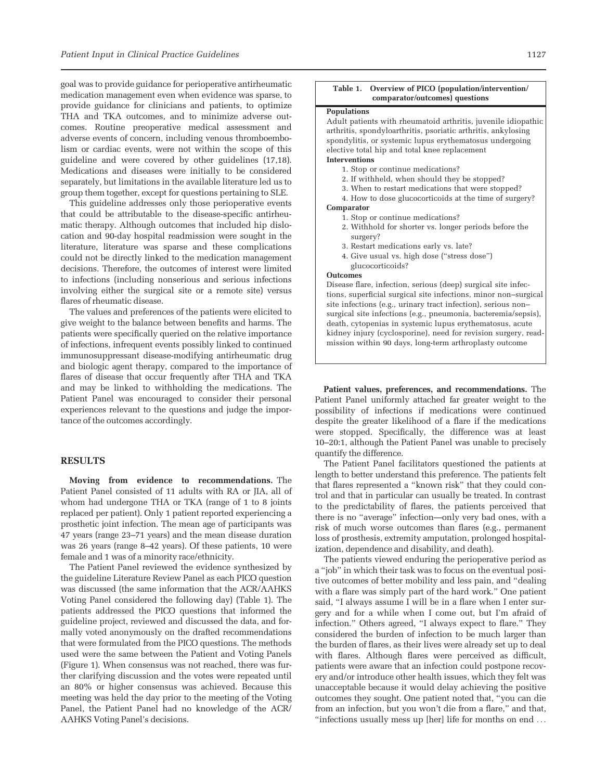goal was to provide guidance for perioperative antirheumatic medication management even when evidence was sparse, to provide guidance for clinicians and patients, to optimize THA and TKA outcomes, and to minimize adverse outcomes. Routine preoperative medical assessment and adverse events of concern, including venous thromboembolism or cardiac events, were not within the scope of this guideline and were covered by other guidelines (17,18). Medications and diseases were initially to be considered separately, but limitations in the available literature led us to group them together, except for questions pertaining to SLE.

This guideline addresses only those perioperative events that could be attributable to the disease-specific antirheumatic therapy. Although outcomes that included hip dislocation and 90-day hospital readmission were sought in the literature, literature was sparse and these complications could not be directly linked to the medication management decisions. Therefore, the outcomes of interest were limited to infections (including nonserious and serious infections involving either the surgical site or a remote site) versus flares of rheumatic disease.

The values and preferences of the patients were elicited to give weight to the balance between benefits and harms. The patients were specifically queried on the relative importance of infections, infrequent events possibly linked to continued immunosuppressant disease-modifying antirheumatic drug and biologic agent therapy, compared to the importance of flares of disease that occur frequently after THA and TKA and may be linked to withholding the medications. The Patient Panel was encouraged to consider their personal experiences relevant to the questions and judge the importance of the outcomes accordingly.

# RESULTS

Moving from evidence to recommendations. The Patient Panel consisted of 11 adults with RA or JIA, all of whom had undergone THA or TKA (range of 1 to 8 joints replaced per patient). Only 1 patient reported experiencing a prosthetic joint infection. The mean age of participants was 47 years (range 23–71 years) and the mean disease duration was 26 years (range 8–42 years). Of these patients, 10 were female and 1 was of a minority race/ethnicity.

The Patient Panel reviewed the evidence synthesized by the guideline Literature Review Panel as each PICO question was discussed (the same information that the ACR/AAHKS Voting Panel considered the following day) (Table 1). The patients addressed the PICO questions that informed the guideline project, reviewed and discussed the data, and formally voted anonymously on the drafted recommendations that were formulated from the PICO questions. The methods used were the same between the Patient and Voting Panels (Figure 1). When consensus was not reached, there was further clarifying discussion and the votes were repeated until an 80% or higher consensus was achieved. Because this meeting was held the day prior to the meeting of the Voting Panel, the Patient Panel had no knowledge of the ACR/ AAHKS Voting Panel's decisions.

#### Table 1. Overview of PICO (population/intervention/ comparator/outcomes) questions

#### Populations

Adult patients with rheumatoid arthritis, juvenile idiopathic arthritis, spondyloarthritis, psoriatic arthritis, ankylosing spondylitis, or systemic lupus erythematosus undergoing elective total hip and total knee replacement Interventions

- 1. Stop or continue medications?
- 2. If withheld, when should they be stopped?
- 3. When to restart medications that were stopped?

4. How to dose glucocorticoids at the time of surgery? Comparator

- 1. Stop or continue medications?
- 2. Withhold for shorter vs. longer periods before the surgery?
- 3. Restart medications early vs. late?
- 4. Give usual vs. high dose ("stress dose")
- glucocorticoids?

#### **Outcomes**

Disease flare, infection, serious (deep) surgical site infections, superficial surgical site infections, minor non–surgical site infections (e.g., urinary tract infection), serious non– surgical site infections (e.g., pneumonia, bacteremia/sepsis), death, cytopenias in systemic lupus erythematosus, acute kidney injury (cyclosporine), need for revision surgery, readmission within 90 days, long-term arthroplasty outcome

Patient values, preferences, and recommendations. The Patient Panel uniformly attached far greater weight to the possibility of infections if medications were continued despite the greater likelihood of a flare if the medications were stopped. Specifically, the difference was at least 10–20:1, although the Patient Panel was unable to precisely quantify the difference.

The Patient Panel facilitators questioned the patients at length to better understand this preference. The patients felt that flares represented a "known risk" that they could control and that in particular can usually be treated. In contrast to the predictability of flares, the patients perceived that there is no "average" infection—only very bad ones, with a risk of much worse outcomes than flares (e.g., permanent loss of prosthesis, extremity amputation, prolonged hospitalization, dependence and disability, and death).

The patients viewed enduring the perioperative period as a "job" in which their task was to focus on the eventual positive outcomes of better mobility and less pain, and "dealing with a flare was simply part of the hard work." One patient said, "I always assume I will be in a flare when I enter surgery and for a while when I come out, but I'm afraid of infection." Others agreed, "I always expect to flare." They considered the burden of infection to be much larger than the burden of flares, as their lives were already set up to deal with flares. Although flares were perceived as difficult, patients were aware that an infection could postpone recovery and/or introduce other health issues, which they felt was unacceptable because it would delay achieving the positive outcomes they sought. One patient noted that, "you can die from an infection, but you won't die from a flare," and that, "infections usually mess up [her] life for months on end ...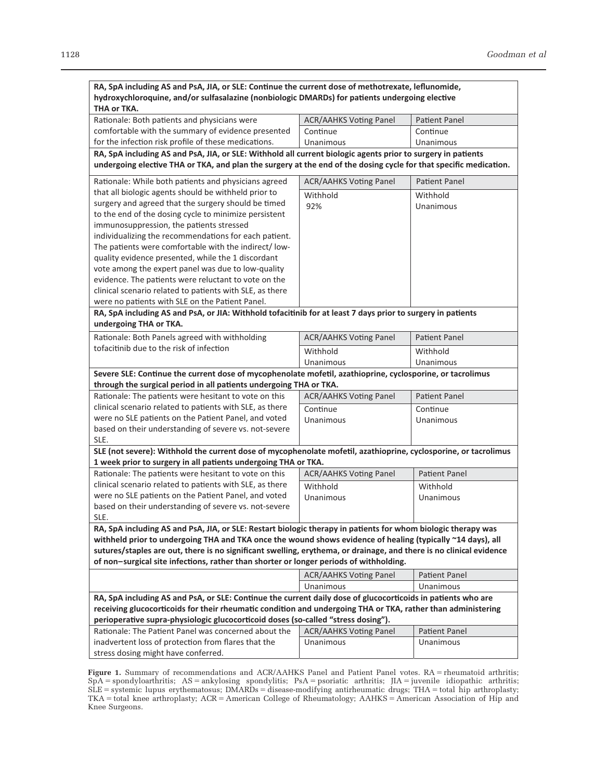| RA, SpA including AS and PsA, JIA, or SLE: Continue the current dose of methotrexate, leflunomide,                                                                                                                           |                               |                      |
|------------------------------------------------------------------------------------------------------------------------------------------------------------------------------------------------------------------------------|-------------------------------|----------------------|
| hydroxychloroquine, and/or sulfasalazine (nonbiologic DMARDs) for patients undergoing elective                                                                                                                               |                               |                      |
| THA or TKA.                                                                                                                                                                                                                  |                               |                      |
| Rationale: Both patients and physicians were                                                                                                                                                                                 | <b>ACR/AAHKS Voting Panel</b> | <b>Patient Panel</b> |
| comfortable with the summary of evidence presented                                                                                                                                                                           | Continue                      | Continue             |
| for the infection risk profile of these medications.                                                                                                                                                                         | Unanimous                     | Unanimous            |
| RA, SpA including AS and PsA, JIA, or SLE: Withhold all current biologic agents prior to surgery in patients                                                                                                                 |                               |                      |
| undergoing elective THA or TKA, and plan the surgery at the end of the dosing cycle for that specific medication.                                                                                                            |                               |                      |
| Rationale: While both patients and physicians agreed                                                                                                                                                                         | <b>ACR/AAHKS Voting Panel</b> | <b>Patient Panel</b> |
| that all biologic agents should be withheld prior to                                                                                                                                                                         | Withhold                      | Withhold             |
| surgery and agreed that the surgery should be timed                                                                                                                                                                          | 92%                           | Unanimous            |
| to the end of the dosing cycle to minimize persistent                                                                                                                                                                        |                               |                      |
| immunosuppression, the patients stressed                                                                                                                                                                                     |                               |                      |
| individualizing the recommendations for each patient.                                                                                                                                                                        |                               |                      |
| The patients were comfortable with the indirect/low-                                                                                                                                                                         |                               |                      |
| quality evidence presented, while the 1 discordant                                                                                                                                                                           |                               |                      |
| vote among the expert panel was due to low-quality                                                                                                                                                                           |                               |                      |
| evidence. The patients were reluctant to vote on the                                                                                                                                                                         |                               |                      |
| clinical scenario related to patients with SLE, as there                                                                                                                                                                     |                               |                      |
| were no patients with SLE on the Patient Panel.                                                                                                                                                                              |                               |                      |
| RA, SpA including AS and PsA, or JIA: Withhold tofacitinib for at least 7 days prior to surgery in patients                                                                                                                  |                               |                      |
| undergoing THA or TKA.                                                                                                                                                                                                       |                               |                      |
| Rationale: Both Panels agreed with withholding                                                                                                                                                                               | <b>ACR/AAHKS Voting Panel</b> | <b>Patient Panel</b> |
| tofacitinib due to the risk of infection                                                                                                                                                                                     | Withhold                      | Withhold             |
|                                                                                                                                                                                                                              | Unanimous                     | Unanimous            |
| Severe SLE: Continue the current dose of mycophenolate mofetil, azathioprine, cyclosporine, or tacrolimus                                                                                                                    |                               |                      |
| through the surgical period in all patients undergoing THA or TKA.                                                                                                                                                           |                               |                      |
| Rationale: The patients were hesitant to vote on this                                                                                                                                                                        | <b>ACR/AAHKS Voting Panel</b> | <b>Patient Panel</b> |
| clinical scenario related to patients with SLE, as there                                                                                                                                                                     | Continue                      | Continue             |
| were no SLE patients on the Patient Panel, and voted                                                                                                                                                                         | Unanimous                     | Unanimous            |
| based on their understanding of severe vs. not-severe                                                                                                                                                                        |                               |                      |
| SLE.                                                                                                                                                                                                                         |                               |                      |
| SLE (not severe): Withhold the current dose of mycophenolate mofetil, azathioprine, cyclosporine, or tacrolimus                                                                                                              |                               |                      |
| 1 week prior to surgery in all patients undergoing THA or TKA.                                                                                                                                                               |                               |                      |
| Rationale: The patients were hesitant to vote on this                                                                                                                                                                        | <b>ACR/AAHKS Voting Panel</b> | <b>Patient Panel</b> |
| clinical scenario related to patients with SLE, as there                                                                                                                                                                     | Withhold                      | Withhold             |
| were no SLE patients on the Patient Panel, and voted                                                                                                                                                                         | Unanimous                     | Unanimous            |
| based on their understanding of severe vs. not-severe                                                                                                                                                                        |                               |                      |
| SLE.                                                                                                                                                                                                                         |                               |                      |
| RA, SpA including AS and PsA, JIA, or SLE: Restart biologic therapy in patients for whom biologic therapy was<br>withheld prior to undergoing THA and TKA once the wound shows evidence of healing (typically ~14 days), all |                               |                      |
| sutures/staples are out, there is no significant swelling, erythema, or drainage, and there is no clinical evidence                                                                                                          |                               |                      |
| of non-surgical site infections, rather than shorter or longer periods of withholding.                                                                                                                                       |                               |                      |
|                                                                                                                                                                                                                              |                               |                      |
|                                                                                                                                                                                                                              | <b>ACR/AAHKS Voting Panel</b> | <b>Patient Panel</b> |
|                                                                                                                                                                                                                              | Unanimous                     | Unanimous            |
| RA, SpA including AS and PsA, or SLE: Continue the current daily dose of glucocorticoids in patients who are                                                                                                                 |                               |                      |
| receiving glucocorticoids for their rheumatic condition and undergoing THA or TKA, rather than administering                                                                                                                 |                               |                      |
| perioperative supra-physiologic glucocorticoid doses (so-called "stress dosing").                                                                                                                                            |                               |                      |
|                                                                                                                                                                                                                              |                               |                      |
| Rationale: The Patient Panel was concerned about the                                                                                                                                                                         | <b>ACR/AAHKS Voting Panel</b> | <b>Patient Panel</b> |
| inadvertent loss of protection from flares that the<br>stress dosing might have conferred.                                                                                                                                   | Unanimous                     | Unanimous            |

Figure 1. Summary of recommendations and ACR/AAHKS Panel and Patient Panel votes. RA = rheumatoid arthritis; SpA = spondyloarthritis; AS = ankylosing spondylitis; PsA = psoriatic arthritis; JIA = juvenile idiopathic arthritis; SLE = systemic lupus erythematosus; DMARDs = disease-modifying antirheumatic drugs; THA = total hip arthroplasty; TKA = total knee arthroplasty; ACR = American College of Rheumatology; AAHKS = American Association of Hip and Knee Surgeons.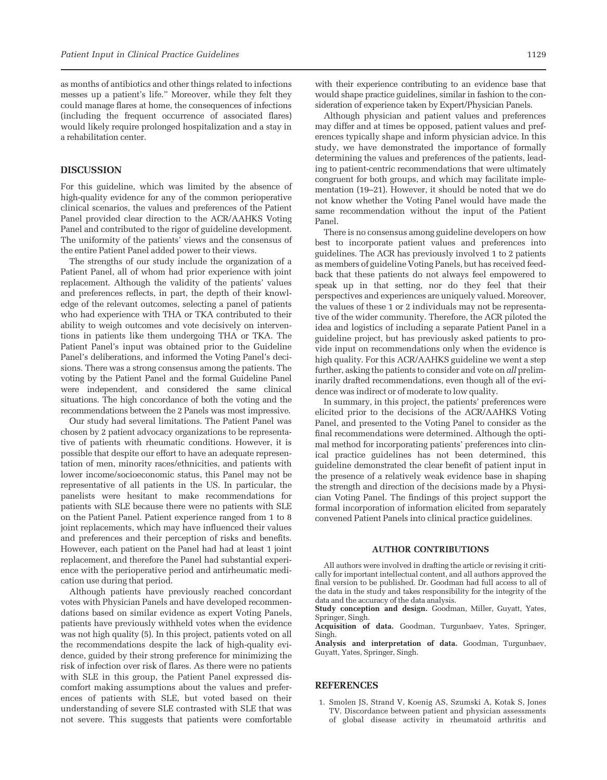as months of antibiotics and other things related to infections messes up a patient's life." Moreover, while they felt they could manage flares at home, the consequences of infections (including the frequent occurrence of associated flares) would likely require prolonged hospitalization and a stay in a rehabilitation center.

# DISCUSSION

For this guideline, which was limited by the absence of high-quality evidence for any of the common perioperative clinical scenarios, the values and preferences of the Patient Panel provided clear direction to the ACR/AAHKS Voting Panel and contributed to the rigor of guideline development. The uniformity of the patients' views and the consensus of the entire Patient Panel added power to their views.

The strengths of our study include the organization of a Patient Panel, all of whom had prior experience with joint replacement. Although the validity of the patients' values and preferences reflects, in part, the depth of their knowledge of the relevant outcomes, selecting a panel of patients who had experience with THA or TKA contributed to their ability to weigh outcomes and vote decisively on interventions in patients like them undergoing THA or TKA. The Patient Panel's input was obtained prior to the Guideline Panel's deliberations, and informed the Voting Panel's decisions. There was a strong consensus among the patients. The voting by the Patient Panel and the formal Guideline Panel were independent, and considered the same clinical situations. The high concordance of both the voting and the recommendations between the 2 Panels was most impressive.

Our study had several limitations. The Patient Panel was chosen by 2 patient advocacy organizations to be representative of patients with rheumatic conditions. However, it is possible that despite our effort to have an adequate representation of men, minority races/ethnicities, and patients with lower income/socioeconomic status, this Panel may not be representative of all patients in the US. In particular, the panelists were hesitant to make recommendations for patients with SLE because there were no patients with SLE on the Patient Panel. Patient experience ranged from 1 to 8 joint replacements, which may have influenced their values and preferences and their perception of risks and benefits. However, each patient on the Panel had had at least 1 joint replacement, and therefore the Panel had substantial experience with the perioperative period and antirheumatic medication use during that period.

Although patients have previously reached concordant votes with Physician Panels and have developed recommendations based on similar evidence as expert Voting Panels, patients have previously withheld votes when the evidence was not high quality (5). In this project, patients voted on all the recommendations despite the lack of high-quality evidence, guided by their strong preference for minimizing the risk of infection over risk of flares. As there were no patients with SLE in this group, the Patient Panel expressed discomfort making assumptions about the values and preferences of patients with SLE, but voted based on their understanding of severe SLE contrasted with SLE that was not severe. This suggests that patients were comfortable with their experience contributing to an evidence base that would shape practice guidelines, similar in fashion to the consideration of experience taken by Expert/Physician Panels.

Although physician and patient values and preferences may differ and at times be opposed, patient values and preferences typically shape and inform physician advice. In this study, we have demonstrated the importance of formally determining the values and preferences of the patients, leading to patient-centric recommendations that were ultimately congruent for both groups, and which may facilitate implementation (19–21). However, it should be noted that we do not know whether the Voting Panel would have made the same recommendation without the input of the Patient Panel.

There is no consensus among guideline developers on how best to incorporate patient values and preferences into guidelines. The ACR has previously involved 1 to 2 patients as members of guideline Voting Panels, but has received feedback that these patients do not always feel empowered to speak up in that setting, nor do they feel that their perspectives and experiences are uniquely valued. Moreover, the values of these 1 or 2 individuals may not be representative of the wider community. Therefore, the ACR piloted the idea and logistics of including a separate Patient Panel in a guideline project, but has previously asked patients to provide input on recommendations only when the evidence is high quality. For this ACR/AAHKS guideline we went a step further, asking the patients to consider and vote on all preliminarily drafted recommendations, even though all of the evidence was indirect or of moderate to low quality.

In summary, in this project, the patients' preferences were elicited prior to the decisions of the ACR/AAHKS Voting Panel, and presented to the Voting Panel to consider as the final recommendations were determined. Although the optimal method for incorporating patients' preferences into clinical practice guidelines has not been determined, this guideline demonstrated the clear benefit of patient input in the presence of a relatively weak evidence base in shaping the strength and direction of the decisions made by a Physician Voting Panel. The findings of this project support the formal incorporation of information elicited from separately convened Patient Panels into clinical practice guidelines.

#### AUTHOR CONTRIBUTIONS

All authors were involved in drafting the article or revising it critically for important intellectual content, and all authors approved the final version to be published. Dr. Goodman had full access to all of the data in the study and takes responsibility for the integrity of the data and the accuracy of the data analysis.

Study conception and design. Goodman, Miller, Guyatt, Yates, Springer, Singh.

Acquisition of data. Goodman, Turgunbaev, Yates, Springer, Singh.

Analysis and interpretation of data. Goodman, Turgunbaev, Guyatt, Yates, Springer, Singh.

#### REFERENCES

1. Smolen JS, Strand V, Koenig AS, Szumski A, Kotak S, Jones TV. Discordance between patient and physician assessments of global disease activity in rheumatoid arthritis and